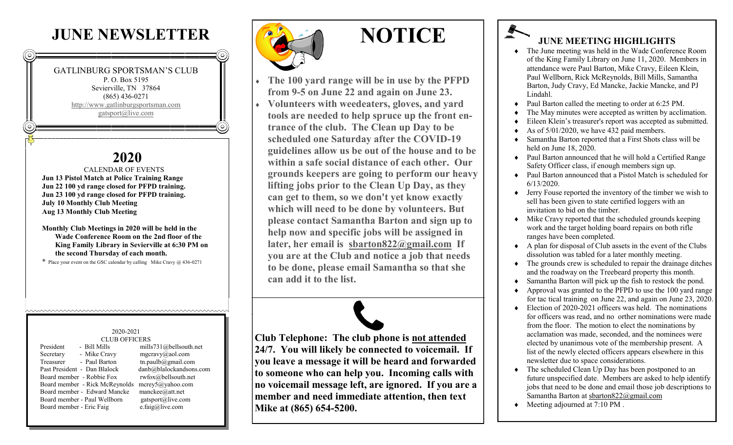## **JUNE NEWSLETTER**

#### GATLINBURG SPORTSMAN'S CLUB P. O. Box 5195

Sevierville, TN 37864 (865) 436-0271 <http://www.gatlinburgsportsman.com> [gatsport@live.com](mailto:gatsport@live.com)

## **2020**

 CALENDAR OF EVENTS **Jun 13 Pistol Match at Police Training Range Jun 22 100 yd range closed for PFPD training. Jun 23 100 yd range closed for PFPD training. July 10 Monthly Club Meeting Aug 13 Monthly Club Meeting**

#### **Monthly Club Meetings in 2020 will be held in the Wade Conference Room on the 2nd floor of the King Family Library in Sevierville at 6:30 PM on the second Thursday of each month.**

**\*** Place your event on the GSC calendar by calling Mike Cravy @ 436-0271

#### 2020-2021 CLUB OFFICERS

| - Bill Mills<br>President      | ľ |
|--------------------------------|---|
| - Mike Cravy<br>Secretary      | ľ |
| - Paul Barton<br>Treasurer     | t |
| Past President - Dan Blalock   | d |
| Board member - Robbie Fox      | r |
| Board member - Rick McReynolds | n |
| Board member - Edward Mancke   | n |
| Board member - Paul Wellborn   | ş |
| Board member - Eric Faig       | е |
|                                |   |

mills 731@bellsouth.net mgcravy@aol.com  $t$ n.paulb $\omega$ gmail.com  $\text{lab}(a)$ blalockandsons.com rwfox@bellsouth.net  $n$ erev $5$ @yahoo.com manckee@att.net gatsport@live.com e.faig@live.com



# **NOTICE**

 **The 100 yard range will be in use by the PFPD from 9-5 on June 22 and again on June 23. Volunteers with weedeaters, gloves, and yard tools are needed to help spruce up the front entrance of the club. The Clean up Day to be scheduled one Saturday after the COVID-19 guidelines allow us be out of the house and to be within a safe social distance of each other. Our grounds keepers are going to perform our heavy lifting jobs prior to the Clean Up Day, as they can get to them, so we don't yet know exactly which will need to be done by volunteers. But please contact Samantha Barton and sign up to help now and specific jobs will be assigned in later, her email is [sbarton822@gmail.com](mailto:sbarton822@gmail.com) If you are at the Club and notice a job that needs to be done, please email Samantha so that she can add it to the list.**

**Club Telephone: The club phone is not attended 24/7. You will likely be connected to voicemail. If you leave a message it will be heard and forwarded to someone who can help you. Incoming calls with no voicemail message left, are ignored. If you are a member and need immediate attention, then text Mike at (865) 654-5200.** 

### **JUNE MEETING HIGHLIGHTS**

- The June meeting was held in the Wade Conference Room of the King Family Library on June 11, 2020. Members in attendance were Paul Barton, Mike Cravy, Eileen Klein, Paul Wellborn, Rick McReynolds, Bill Mills, Samantha Barton, Judy Cravy, Ed Mancke, Jackie Mancke, and PJ Lindahl.
- Paul Barton called the meeting to order at 6:25 PM.
- The May minutes were accepted as written by acclimation.
- Eileen Klein's treasurer's report was accepted as submitted.
- As of 5/01/2020, we have 432 paid members.
- Samantha Barton reported that a First Shots class will be held on June 18, 2020.
- Paul Barton announced that he will hold a Certified Range Safety Officer class, if enough members sign up.
- Paul Barton announced that a Pistol Match is scheduled for 6/13/2020.
- Jerry Fouse reported the inventory of the timber we wish to sell has been given to state certified loggers with an invitation to bid on the timber.
- Mike Cravy reported that the scheduled grounds keeping work and the target holding board repairs on both rifle ranges have been completed.
- $\triangle$  A plan for disposal of Club assets in the event of the Clubs dissolution was tabled for a later monthly meeting.
- $\bullet$  The grounds crew is scheduled to repair the drainage ditches and the roadway on the Treebeard property this month.
- Samantha Barton will pick up the fish to restock the pond.
- Approval was granted to the PFPD to use the 100 yard range for tac tical training on June 22, and again on June 23, 2020.
- Election of 2020-2021 officers was held. The nominations for officers was read, and no orther nominations were made from the floor. The motion to elect the nominations by acclamation was made, seconded, and the nominees were elected by unanimous vote of the membership present. A list of the newly elected officers appears elsewhere in this newsletter due to space considerations.
- The scheduled Clean Up Day has been postponed to an future unspecified date. Members are asked to help identify jobs that need to be done and email those job descriptions to Samantha Barton at [sbarton822@gmail.com](mailto:sbarton822@gmail.com)
- Meeting adjourned at 7:10 PM .